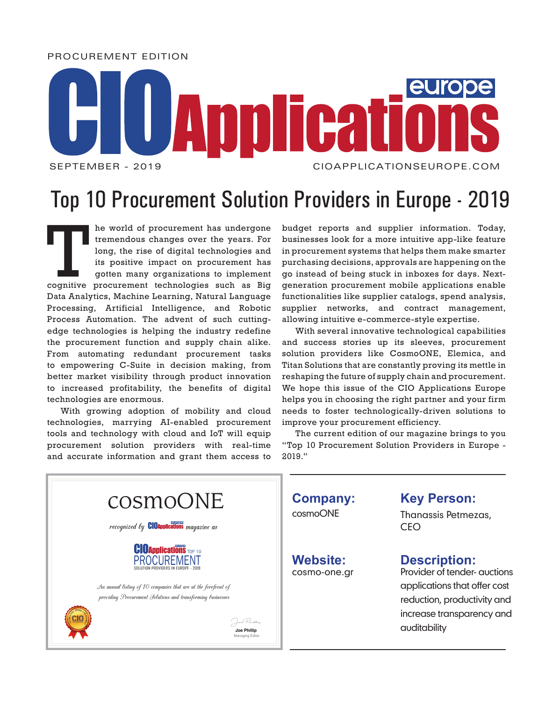PROCUREMENT EDITION

## **MICA** SEPTEMBER - 2019 CIOAPPLICATIONSEUROPE.COM

## Top 10 Procurement Solution Providers in Europe - 2019

The world of procurement has undergone<br>
tremendous changes over the years. For<br>
long, the rise of digital technologies and<br>
its positive impact on procurement has<br>
gotten many organizations to implement<br>
cognitive procurem tremendous changes over the years. For long, the rise of digital technologies and its positive impact on procurement has gotten many organizations to implement Data Analytics, Machine Learning, Natural Language Processing, Artificial Intelligence, and Robotic Process Automation. The advent of such cuttingedge technologies is helping the industry redefine the procurement function and supply chain alike. From automating redundant procurement tasks to empowering C-Suite in decision making, from better market visibility through product innovation to increased profitability, the benefits of digital technologies are enormous.

With growing adoption of mobility and cloud technologies, marrying AI-enabled procurement tools and technology with cloud and IoT will equip procurement solution providers with real-time and accurate information and grant them access to budget reports and supplier information. Today, businesses look for a more intuitive app-like feature in procurement systems that helps them make smarter purchasing decisions, approvals are happening on the go instead of being stuck in inboxes for days. Nextgeneration procurement mobile applications enable functionalities like supplier catalogs, spend analysis, supplier networks, and contract management, allowing intuitive e-commerce-style expertise.

With several innovative technological capabilities and success stories up its sleeves, procurement solution providers like CosmoONE, Elemica, and Titan Solutions that are constantly proving its mettle in reshaping the future of supply chain and procurement. We hope this issue of the CIO Applications Europe helps you in choosing the right partner and your firm needs to foster technologically-driven solutions to improve your procurement efficiency.

The current edition of our magazine brings to you "Top 10 Procurement Solution Providers in Europe - 2019."

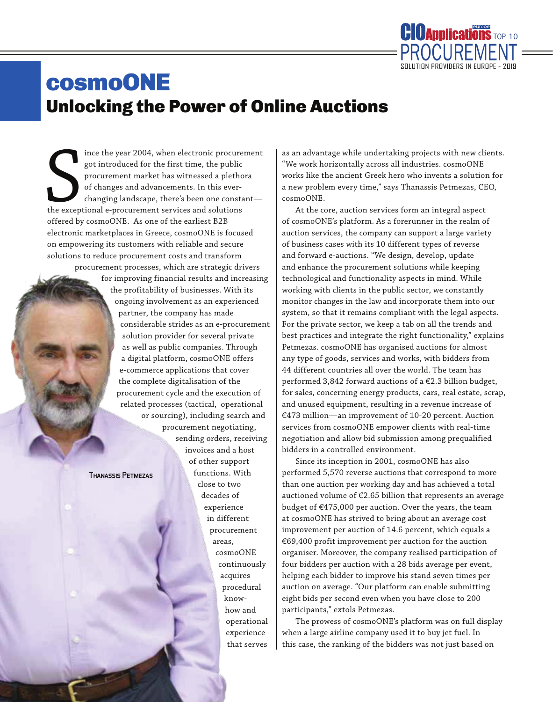

## cosmoONE Unlocking the Power of Online Auctions

the exception ince the year 2004, when electronic procurement got introduced for the first time, the public procurement market has witnessed a plethora of changes and advancements. In this everchanging landscape, there's been one constant the exceptional e-procurement services and solutions offered by cosmoONE. As one of the earliest B2B electronic marketplaces in Greece, cosmoONE is focused on empowering its customers with reliable and secure solutions to reduce procurement costs and transform procurement processes, which are strategic drivers for improving financial results and increasing the profitability of businesses. With its ongoing involvement as an experienced partner, the company has made considerable strides as an e-procurement solution provider for several private as well as public companies. Through a digital platform, cosmoONE offers e-commerce applications that cover the complete digitalisation of the procurement cycle and the execution of related processes (tactical, operational or sourcing), including search and procurement negotiating, sending orders, receiving invoices and a host of other support functions. With close to two decades of experience in different procurement areas, cosmoONE continuously acquires procedural knowhow and operational experience Thanassis Petmezas

that serves

as an advantage while undertaking projects with new clients. "We work horizontally across all industries. cosmoONE works like the ancient Greek hero who invents a solution for a new problem every time," says Thanassis Petmezas, CEO, cosmoONE.

At the core, auction services form an integral aspect of cosmoONE's platform. As a forerunner in the realm of auction services, the company can support a large variety of business cases with its 10 different types of reverse and forward e-auctions. "We design, develop, update and enhance the procurement solutions while keeping technological and functionality aspects in mind. While working with clients in the public sector, we constantly monitor changes in the law and incorporate them into our system, so that it remains compliant with the legal aspects. For the private sector, we keep a tab on all the trends and best practices and integrate the right functionality," explains Petmezas. cosmoONE has organised auctions for almost any type of goods, services and works, with bidders from 44 different countries all over the world. The team has performed 3,842 forward auctions of a €2.3 billion budget, for sales, concerning energy products, cars, real estate, scrap, and unused equipment, resulting in a revenue increase of €473 million—an improvement of 10-20 percent. Auction services from cosmoONE empower clients with real-time negotiation and allow bid submission among prequalified bidders in a controlled environment.

Since its inception in 2001, cosmoONE has also performed 5,570 reverse auctions that correspond to more than one auction per working day and has achieved a total auctioned volume of €2.65 billion that represents an average budget of €475,000 per auction. Over the years, the team at cosmoONE has strived to bring about an average cost improvement per auction of 14.6 percent, which equals a €69,400 profit improvement per auction for the auction organiser. Moreover, the company realised participation of four bidders per auction with a 28 bids average per event, helping each bidder to improve his stand seven times per auction on average. "Our platform can enable submitting eight bids per second even when you have close to 200 participants," extols Petmezas.

The prowess of cosmoONE's platform was on full display when a large airline company used it to buy jet fuel. In this case, the ranking of the bidders was not just based on

March 2018 March 2018 March 2018 March 2018 March 2018 March 2018 March 2018 March 2018 March 2018 March 2018 CIOAPPLICATIONSEUROPE.COM CIOAPPLICATIONSEUROPE.COM 2 3